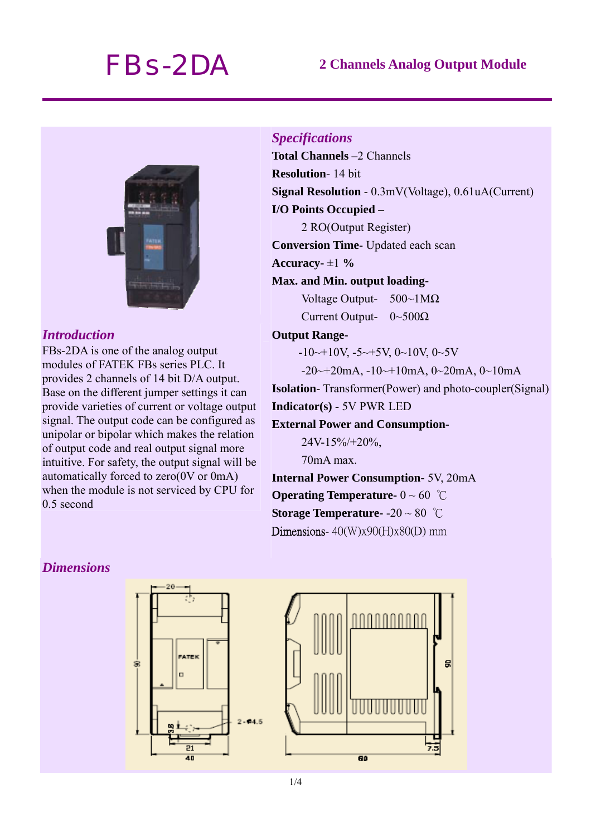# *FBs-2DA* **2 Channels Analog Output Module**



### *Introduction*

FBs-2DA is one of the analog output modules of FATEK FBs series PLC. It provides 2 channels of 14 bit D/A output. Base on the different jumper settings it can provide varieties of current or voltage output signal. The output code can be configured as unipolar or bipolar which makes the relation of output code and real output signal more intuitive. For safety, the output signal will be automatically forced to zero(0V or 0mA) when the module is not serviced by CPU for 0.5 second

## *Specifications*

**Total Channels** –2 Channels **Resolution**- 14 bit **Signal Resolution** - 0.3mV(Voltage), 0.61uA(Current) **I/O Points Occupied –**  2 RO(Output Register) **Conversion Time**- Updated each scan Accuracy- $\pm 1\%$ **Max. and Min. output loading-**Voltage Output-  $500~\text{M}\Omega$ Current Output- 0~500Ω **Output Range-**   $-10 \rightarrow 10V$ ,  $-5 \rightarrow 5V$ ,  $0 \rightarrow 10V$ ,  $0 \rightarrow 5V$ 

 $-20 \rightarrow 20$ mA,  $-10 \rightarrow 10$ mA,  $0 \rightarrow 20$ mA,  $0 \rightarrow 10$ mA

**Isolation**- Transformer(Power) and photo-coupler(Signal) **Indicator(s) -** 5V PWR LED

g

#### **External Power and Consumption-**

 $24V-15\%/+20\%$ 

70mA max.

**Internal Power Consumption-** 5V, 20mA **Operating Temperature-** 0 ~ 60 ℃ **Storage Temperature-** -20 ~ 80 ℃ Dimensions-  $40$ (W)x90(H)x80(D) mm

A0

# *Dimensions*



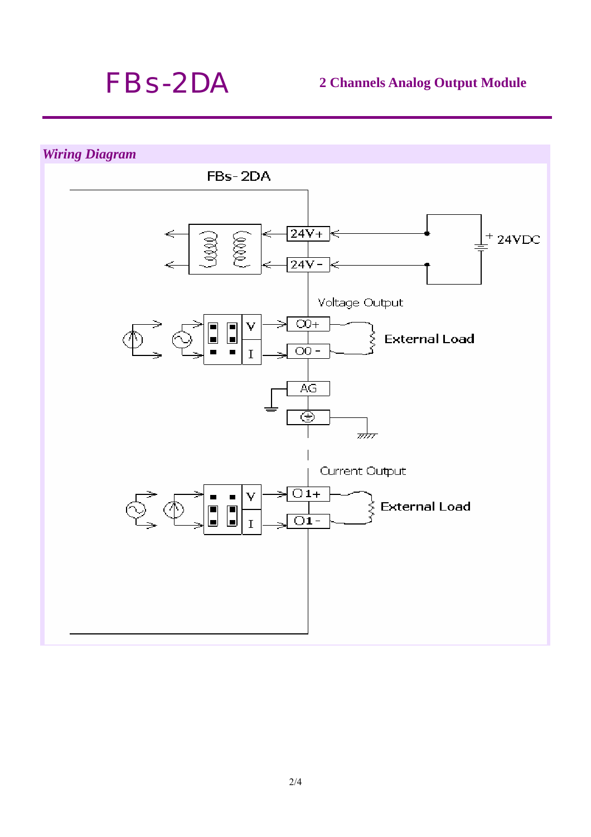

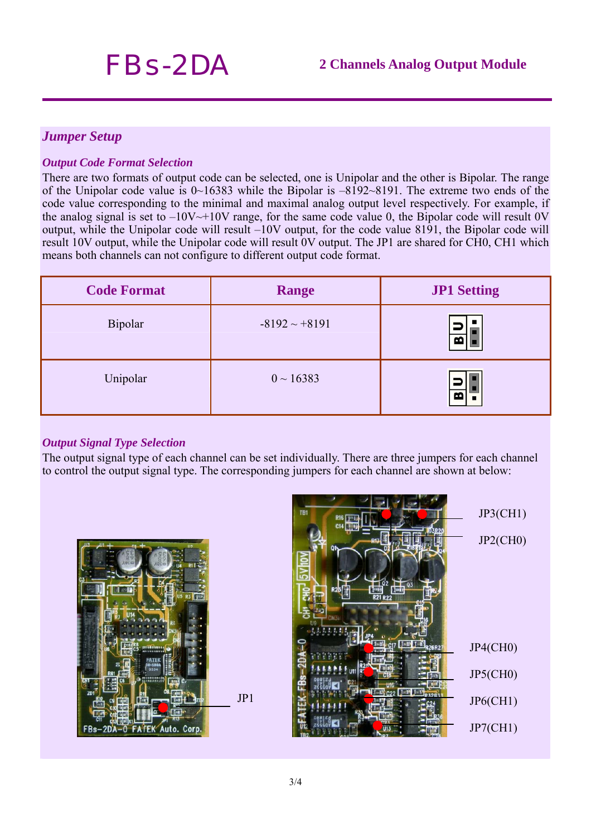JP4(CH0)

JP3(CH1)

JP2(CH0)

JP6(CH1)

JP7(CH1)

JP5(CH0)

# *Jumper Setup*

#### *Output Code Format Selection*

There are two formats of output code can be selected, one is Unipolar and the other is Bipolar. The range of the Unipolar code value is 0~16383 while the Bipolar is –8192~8191. The extreme two ends of the code value corresponding to the minimal and maximal analog output level respectively. For example, if the analog signal is set to  $-10V \rightarrow +10V$  range, for the same code value 0, the Bipolar code will result 0V output, while the Unipolar code will result –10V output, for the code value 8191, the Bipolar code will result 10V output, while the Unipolar code will result 0V output. The JP1 are shared for CH0, CH1 which means both channels can not configure to different output code format.

| <b>Code Format</b> | <b>Range</b>       | <b>JP1 Setting</b> |  |
|--------------------|--------------------|--------------------|--|
| <b>Bipolar</b>     | $-8192 \sim +8191$ | m                  |  |
| Unipolar           | $0 \sim 16383$     | m                  |  |

## *Output Signal Type Selection*

The output signal type of each channel can be set individually. There are three jumpers for each channel to control the output signal type. The corresponding jumpers for each channel are shown at below: